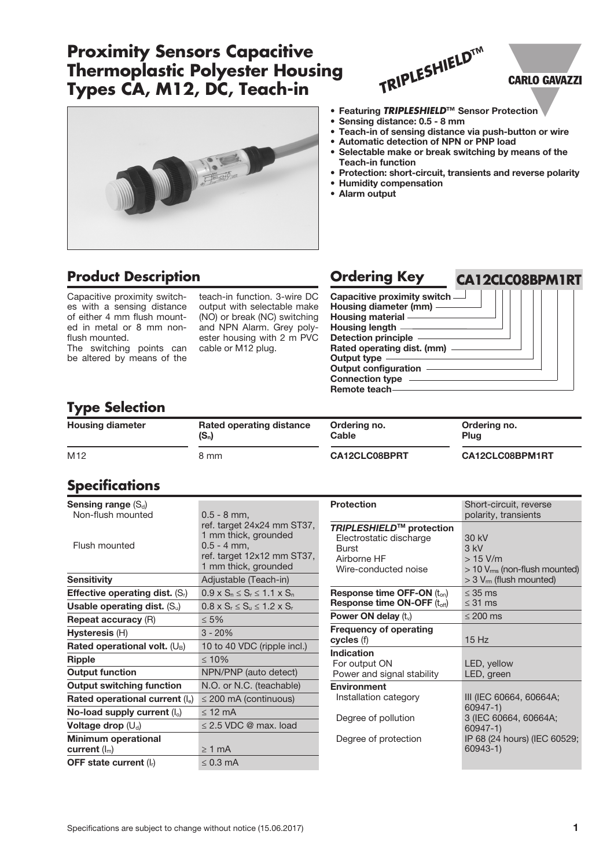# **Proximity Sensors Capacitive Thermoplastic Polyester Housing Types CA, M12, DC, Teach-in**



## **Product Description Ordering Key**

Capacitive proximity switches with a sensing distance of either 4 mm flush mounted in metal or 8 mm nonflush mounted.

The switching points can be altered by means of the

teach-in function. 3-wire DC output with selectable make (NO) or break (NC) switching and NPN Alarm. Grey polyester housing with 2 m PVC cable or M12 plug.

| TRIPLESHIELDTN |  |
|----------------|--|
|                |  |

### **CARLO GAVAZZI**

- Featuring *TRIPLESHIELD***™** Sensor Protection
- Sensing distance: 0.5 8 mm
- Teach-in of sensing distance via push-button or wire
- Automatic detection of NPN or PNP load • Selectable make or break switching by means of the
- Teach-in function Protection: short-circuit, transients and reverse polarity
- Humidity compensation
- Alarm output



## **Type Selection**

| <b>Housing diameter</b> | Rated operating distance | Ordering no.  | Ordering no.    |
|-------------------------|--------------------------|---------------|-----------------|
|                         | $(S_n)$                  | Cable         | Plua            |
| M <sub>12</sub>         | 8 mm                     | CA12CLC08BPRT | CA12CLC08BPM1RT |

## **Specifications**

| Sensing range $(S_d)$                   |                                               |
|-----------------------------------------|-----------------------------------------------|
| Non-flush mounted                       | $0.5 - 8$ mm,                                 |
|                                         | ref. target 24x24 mm ST37,                    |
|                                         | 1 mm thick, grounded                          |
| Flush mounted                           | $0.5 - 4$ mm.                                 |
|                                         | ref. target 12x12 mm ST37,                    |
|                                         | 1 mm thick, grounded                          |
| <b>Sensitivity</b>                      | Adjustable (Teach-in)                         |
| <b>Effective operating dist.</b> $(Si)$ | $0.9 \times S_n \le S_r \le 1.1 \times S_n$   |
| Usable operating dist. $(S_u)$          | $0.8 \times S_r \leq S_u \leq 1.2 \times S_r$ |
| <b>Repeat accuracy (R)</b>              | $\leq 5\%$                                    |
| Hysteresis (H)                          | $3 - 20%$                                     |
| Rated operational volt. $(U_B)$         | 10 to 40 VDC (ripple incl.)                   |
| <b>Ripple</b>                           | $\leq 10\%$                                   |
| <b>Output function</b>                  | NPN/PNP (auto detect)                         |
| <b>Output switching function</b>        | N.O. or N.C. (teachable)                      |
| Rated operational current $(I_e)$       | $\leq$ 200 mA (continuous)                    |
| No-load supply current $(I_0)$          | $<$ 12 mA                                     |
| Voltage drop $(U_d)$                    | $\leq$ 2.5 VDC @ max. load                    |
| <b>Minimum operational</b>              |                                               |
| current $(I_m)$                         | $\geq 1$ mA                                   |
| OFF state current $(I_r)$               | $< 0.3$ mA                                    |
|                                         |                                               |

| <b>Protection</b>                                                                                          | Short-circuit, reverse<br>polarity, transients                                                         |
|------------------------------------------------------------------------------------------------------------|--------------------------------------------------------------------------------------------------------|
| TRIPLESHIELD™ protection<br>Electrostatic discharge<br><b>Burst</b><br>Airborne HF<br>Wire-conducted noise | 30 kV<br>$3$ kV<br>$>15$ V/m<br>$>$ 10 $V_{rms}$ (non-flush mounted)<br>$>$ 3 $V_{rm}$ (flush mounted) |
| Response time OFF-ON $(t_{on})$<br><b>Response time ON-OFF (toff)</b>                                      | $<$ 35 ms<br>$\leq$ 31 ms                                                                              |
| Power ON delay $(tv)$                                                                                      | $\leq$ 200 ms                                                                                          |
| <b>Frequency of operating</b><br>cycles (f)                                                                | 15Hz                                                                                                   |
| Indication<br>For output ON<br>Power and signal stability                                                  | LED, yellow<br>LED, green                                                                              |
| <b>Environment</b><br>Installation category<br>Degree of pollution                                         | III (IEC 60664, 60664A;<br>60947-1)<br>3 (IEC 60664, 60664A;<br>60947-1)                               |
| Degree of protection                                                                                       | IP 68 (24 hours) (IEC 60529;<br>$60943 - 1)$                                                           |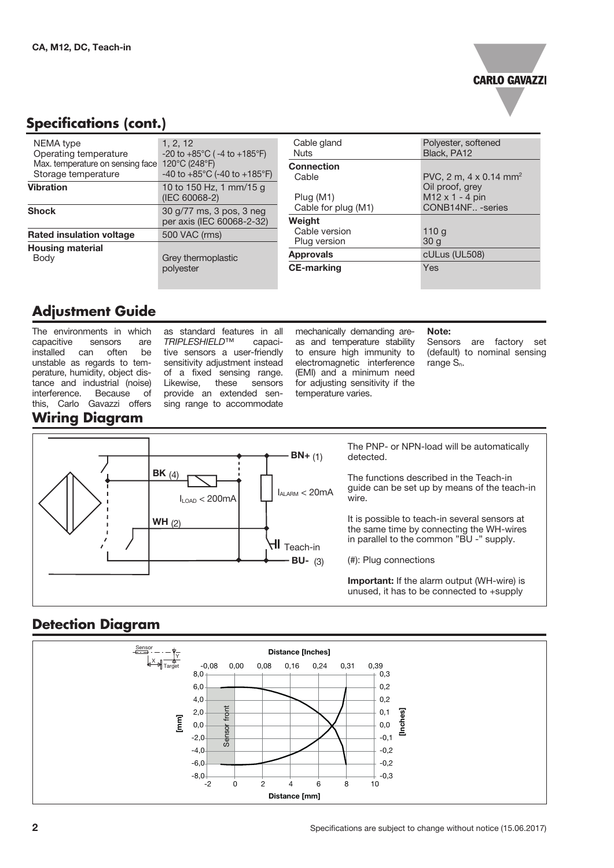

## **Specifications (cont.)**

| NEMA type<br>Operating temperature<br>Max. temperature on sensing face<br>Storage temperature | 1, 2, 12<br>$-20$ to $+85^{\circ}$ C ( $-4$ to $+185^{\circ}$ F)<br>120 $\degree$ C (248 $\degree$ F)<br>-40 to $+85^{\circ}$ C (-40 to $+185^{\circ}$ F) |
|-----------------------------------------------------------------------------------------------|-----------------------------------------------------------------------------------------------------------------------------------------------------------|
| <b>Vibration</b>                                                                              | 10 to 150 Hz, 1 mm/15 g<br>(IEC 60068-2)                                                                                                                  |
| <b>Shock</b>                                                                                  | 30 g/77 ms, 3 pos, 3 neg<br>per axis (IEC 60068-2-32)                                                                                                     |
| <b>Rated insulation voltage</b>                                                               | 500 VAC (rms)                                                                                                                                             |
| <b>Housing material</b><br>Body                                                               | Grey thermoplastic<br>polyester                                                                                                                           |

| Cable gland<br>Nuts | Polyester, softened<br>Black, PA12                    |
|---------------------|-------------------------------------------------------|
| <b>Connection</b>   |                                                       |
| Cable               | PVC, 2 m, 4 x 0.14 mm <sup>2</sup><br>Oil proof, grey |
| Plug (M1)           | $M12 \times 1 - 4$ pin                                |
| Cable for plug (M1) | CONB14NF - series                                     |
| Weight              |                                                       |
| Cable version       | 110 g                                                 |
| Plug version        | 30 <sub>q</sub>                                       |
| <b>Approvals</b>    | cULus (UL508)                                         |
| <b>CE-marking</b>   | Yes                                                   |

## **Adjustment Guide**

The environments in which capacitive sensors are installed can often be unstable as regards to temperature, humidity, object distance and industrial (noise)<br>interference. Because of interference. Because of this, Carlo Gavazzi offers **Wiring Diagram**

as standard features in all<br>TRIPLESHIELD™ capaci-*TRIPLESHIELD*™ capacitive sensors a user-friendly sensitivity adjustment instead of a fixed sensing range. Likewise, these sensors provide an extended sensing range to accommodate

mechanically demanding areas and temperature stability to ensure high immunity to electromagnetic interference (EMI) and a minimum need for adjusting sensitivity if the temperature varies.

#### Note:

Sensors are factory set (default) to nominal sensing range  $S_n$ .



The PNP- or NPN-load will be automatically detected.

The functions described in the Teach-in guide can be set up by means of the teach-in wire.

It is possible to teach-in several sensors at the same time by connecting the WH-wires in parallel to the common "BU -" supply.

(#): Plug connections

Important: If the alarm output (WH-wire) is unused, it has to be connected to +supply

#### **Detection Diagram**

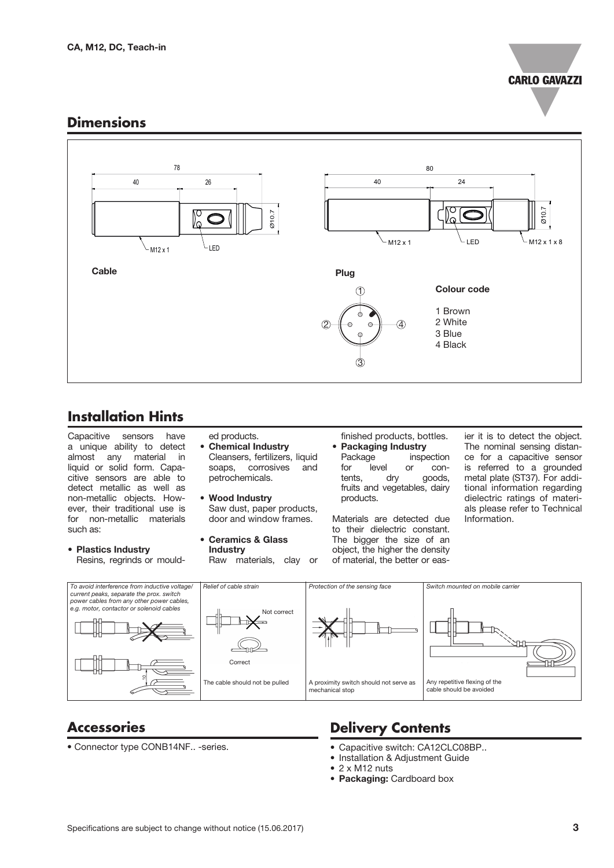

#### **Dimensions**



## **Installation Hints**

Capacitive sensors have a unique ability to detect almost any material in liquid or solid form. Capacitive sensors are able to detect metallic as well as non-metallic objects. However, their traditional use is for non-metallic materials such as:

#### • Plastics Industry Resins, regrinds or mould-

- ed products. • Chemical Industry Cleansers, fertilizers, liquid soaps, corrosives and petrochemicals.
- Wood Industry Saw dust, paper products, door and window frames.
- Ceramics & Glass **Industry**

Raw materials, clay or

finished products, bottles. • **Packaging Industry**<br>Package inspe inspection for level or con-<br>tents, dry goods, goods, fruits and vegetables, dairy products.

Materials are detected due to their dielectric constant. The bigger the size of an object, the higher the density of material, the better or easier it is to detect the object. The nominal sensing distance for a capacitive sensor is referred to a grounded metal plate (ST37). For additional information regarding dielectric ratings of materials please refer to Technical Information.



### **Accessories**

• Connector type CONB14NF.. -series.

## **Delivery Contents**

- Capacitive switch: CA12CLC08BP..
- Installation & Adjustment Guide
- 2 x M12 nuts
- Packaging: Cardboard box